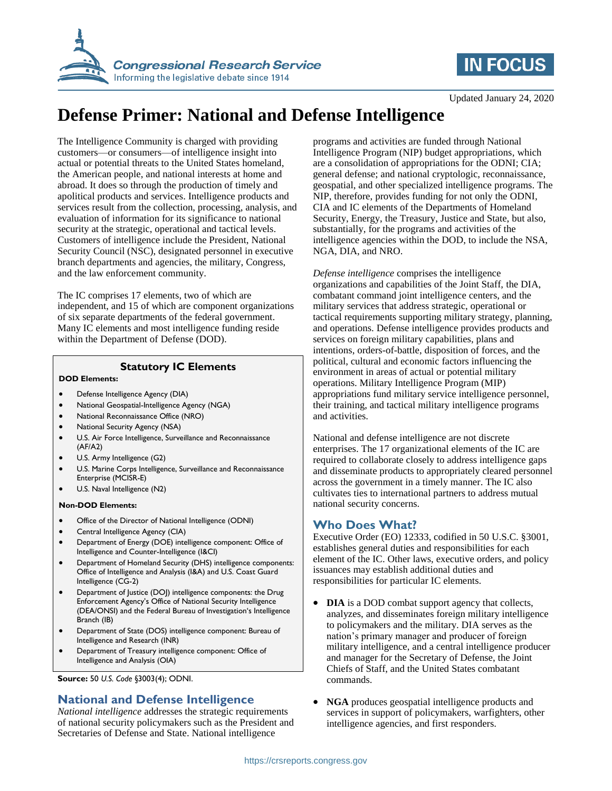



Updated January 24, 2020

# **Defense Primer: National and Defense Intelligence**

The Intelligence Community is charged with providing customers—or consumers—of intelligence insight into actual or potential threats to the United States homeland, the American people, and national interests at home and abroad. It does so through the production of timely and apolitical products and services. Intelligence products and services result from the collection, processing, analysis, and evaluation of information for its significance to national security at the strategic, operational and tactical levels. Customers of intelligence include the President, National Security Council (NSC), designated personnel in executive branch departments and agencies, the military, Congress, and the law enforcement community.

The IC comprises 17 elements, two of which are independent, and 15 of which are component organizations of six separate departments of the federal government. Many IC elements and most intelligence funding reside within the Department of Defense (DOD).

#### **Statutory IC Elements**

#### **DOD Elements:**

- Defense Intelligence Agency (DIA)
- National Geospatial-Intelligence Agency (NGA)
- National Reconnaissance Office (NRO)
- National Security Agency (NSA)
- U.S. Air Force Intelligence, Surveillance and Reconnaissance (AF/A2)
- U.S. Army Intelligence (G2)
- U.S. Marine Corps Intelligence, Surveillance and Reconnaissance Enterprise (MCISR-E)
- U.S. Naval Intelligence (N2)

#### **Non-DOD Elements:**

- Office of the Director of National Intelligence (ODNI)
- Central Intelligence Agency (CIA)
- Department of Energy (DOE) intelligence component: Office of Intelligence and Counter-Intelligence (I&CI)
- Department of Homeland Security (DHS) intelligence components: Office of Intelligence and Analysis (I&A) and U.S. Coast Guard Intelligence (CG-2)
- Department of Justice (DOJ) intelligence components: the Drug Enforcement Agency's Office of National Security Intelligence (DEA/ONSI) and the Federal Bureau of Investigation's Intelligence Branch (IB)
- Department of State (DOS) intelligence component: Bureau of Intelligence and Research (INR)
- Department of Treasury intelligence component: Office of Intelligence and Analysis (OIA)

**Source:** 50 *U.S. Code* §3003(4); ODNI.

## **National and Defense Intelligence**

*National intelligence* addresses the strategic requirements of national security policymakers such as the President and Secretaries of Defense and State. National intelligence

programs and activities are funded through National Intelligence Program (NIP) budget appropriations, which are a consolidation of appropriations for the ODNI; CIA; general defense; and national cryptologic, reconnaissance, geospatial, and other specialized intelligence programs. The NIP, therefore, provides funding for not only the ODNI, CIA and IC elements of the Departments of Homeland Security, Energy, the Treasury, Justice and State, but also, substantially, for the programs and activities of the intelligence agencies within the DOD, to include the NSA, NGA, DIA, and NRO.

*Defense intelligence* comprises the intelligence organizations and capabilities of the Joint Staff, the DIA, combatant command joint intelligence centers, and the military services that address strategic, operational or tactical requirements supporting military strategy, planning, and operations. Defense intelligence provides products and services on foreign military capabilities, plans and intentions, orders-of-battle, disposition of forces, and the political, cultural and economic factors influencing the environment in areas of actual or potential military operations. Military Intelligence Program (MIP) appropriations fund military service intelligence personnel, their training, and tactical military intelligence programs and activities.

National and defense intelligence are not discrete enterprises. The 17 organizational elements of the IC are required to collaborate closely to address intelligence gaps and disseminate products to appropriately cleared personnel across the government in a timely manner. The IC also cultivates ties to international partners to address mutual national security concerns.

## **Who Does What?**

Executive Order (EO) 12333, codified in 50 U.S.C. §3001, establishes general duties and responsibilities for each element of the IC. Other laws, executive orders, and policy issuances may establish additional duties and responsibilities for particular IC elements.

- **DIA** is a DOD combat support agency that collects, analyzes, and disseminates foreign military intelligence to policymakers and the military. DIA serves as the nation's primary manager and producer of foreign military intelligence, and a central intelligence producer and manager for the Secretary of Defense, the Joint Chiefs of Staff, and the United States combatant commands.
- **NGA** produces geospatial intelligence products and services in support of policymakers, warfighters, other intelligence agencies, and first responders.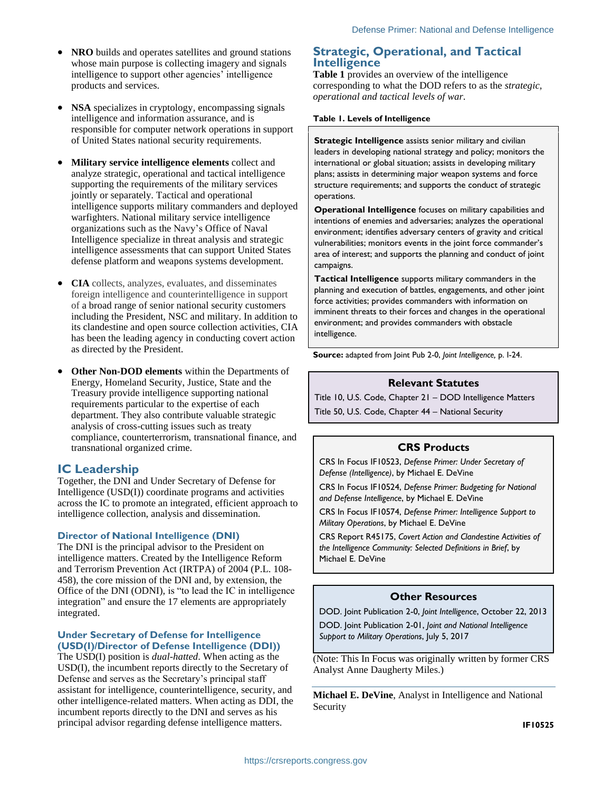- **NRO** builds and operates satellites and ground stations whose main purpose is collecting imagery and signals intelligence to support other agencies' intelligence products and services.
- **NSA** specializes in cryptology, encompassing signals intelligence and information assurance, and is responsible for computer network operations in support of United States national security requirements.
- **Military service intelligence elements** collect and analyze strategic, operational and tactical intelligence supporting the requirements of the military services jointly or separately. Tactical and operational intelligence supports military commanders and deployed warfighters. National military service intelligence organizations such as the Navy's Office of Naval Intelligence specialize in threat analysis and strategic intelligence assessments that can support United States defense platform and weapons systems development.
- **CIA** collects, analyzes, evaluates, and disseminates foreign intelligence and counterintelligence in support of a broad range of senior national security customers including the President, NSC and military. In addition to its clandestine and open source collection activities, CIA has been the leading agency in conducting covert action as directed by the President.
- **Other Non-DOD elements** within the Departments of Energy, Homeland Security, Justice, State and the Treasury provide intelligence supporting national requirements particular to the expertise of each department. They also contribute valuable strategic analysis of cross-cutting issues such as treaty compliance, counterterrorism, transnational finance, and transnational organized crime.

## **IC Leadership**

Together, the DNI and Under Secretary of Defense for Intelligence (USD(I)) coordinate programs and activities across the IC to promote an integrated, efficient approach to intelligence collection, analysis and dissemination.

#### **Director of National Intelligence (DNI)**

The DNI is the principal advisor to the President on intelligence matters. Created by the Intelligence Reform and Terrorism Prevention Act (IRTPA) of 2004 (P.L. 108- 458), the core mission of the DNI and, by extension, the Office of the DNI (ODNI), is "to lead the IC in intelligence integration" and ensure the 17 elements are appropriately integrated.

#### **Under Secretary of Defense for Intelligence (USD(I)/Director of Defense Intelligence (DDI))**

The USD(I) position is *dual-hatted*. When acting as the USD(I), the incumbent reports directly to the Secretary of Defense and serves as the Secretary's principal staff assistant for intelligence, counterintelligence, security, and other intelligence-related matters. When acting as DDI, the incumbent reports directly to the DNI and serves as his principal advisor regarding defense intelligence matters.

#### **Strategic, Operational, and Tactical Intelligence**

**[Table 1](#page-1-0)** provides an overview of the intelligence corresponding to what the DOD refers to as the *strategic, operational and tactical levels of war*.

<span id="page-1-0"></span>**Table 1. Levels of Intelligence**

**Strategic Intelligence** assists senior military and civilian leaders in developing national strategy and policy; monitors the international or global situation; assists in developing military plans; assists in determining major weapon systems and force structure requirements; and supports the conduct of strategic operations.

**Operational Intelligence** focuses on military capabilities and intentions of enemies and adversaries; analyzes the operational environment; identifies adversary centers of gravity and critical vulnerabilities; monitors events in the joint force commander's area of interest; and supports the planning and conduct of joint campaigns.

**Tactical Intelligence** supports military commanders in the planning and execution of battles, engagements, and other joint force activities; provides commanders with information on imminent threats to their forces and changes in the operational environment; and provides commanders with obstacle intelligence.

**Source:** adapted from Joint Pub 2-0, *Joint Intelligence,* p. I-24.

#### **Relevant Statutes**

Title 10, U.S. Code, Chapter 21 – DOD Intelligence Matters Title 50, U.S. Code, Chapter 44 – National Security

#### **CRS Products**

CRS In Focus IF10523, *Defense Primer: Under Secretary of Defense (Intelligence)*, by Michael E. DeVine

CRS In Focus IF10524, *Defense Primer: Budgeting for National and Defense Intelligence*, by Michael E. DeVine

CRS In Focus IF10574, *Defense Primer: Intelligence Support to Military Operations*, by Michael E. DeVine

CRS Report R45175, *Covert Action and Clandestine Activities of the Intelligence Community: Selected Definitions in Brief*, by Michael E. DeVine

#### **Other Resources**

DOD. Joint Publication 2-0, *Joint Intelligence*, October 22, 2013

DOD. Joint Publication 2-01, *Joint and National Intelligence Support to Military Operations*, July 5, 2017

(Note: This In Focus was originally written by former CRS Analyst Anne Daugherty Miles.)

**Michael E. DeVine**, Analyst in Intelligence and National Security